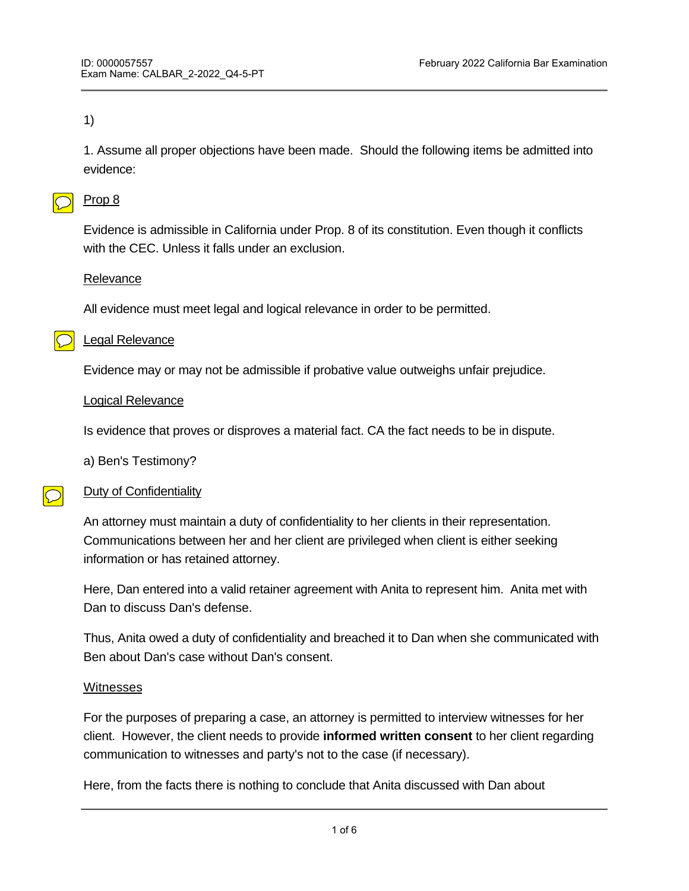#### 1)

1. Assume all proper objections have been made. Should the following items be admitted into evidence:

#### Prop 8

Evidence is admissible in California under Prop. 8 of its constitution. Even though it conflicts with the CEC. Unless it falls under an exclusion.

#### Relevance

All evidence must meet legal and logical relevance in order to be permitted.

#### Legal Relevance

Evidence may or may not be admissible if probative value outweighs unfair prejudice.

#### Logical Relevance

Is evidence that proves or disproves a material fact. CA the fact needs to be in dispute.

a) Ben's Testimony?

#### $\bigcirc$ Duty of Confidentiality

An attorney must maintain a duty of confidentiality to her clients in their representation. Communications between her and her client are privileged when client is either seeking information or has retained attorney.

Here, Dan entered into a valid retainer agreement with Anita to represent him. Anita met with Dan to discuss Dan's defense.

Thus, Anita owed a duty of confidentiality and breached it to Dan when she communicated with Ben about Dan's case without Dan's consent.

#### **Witnesses**

For the purposes of preparing a case, an attorney is permitted to interview witnesses for her client. However, the client needs to provide **informed written consent** to her client regarding communication to witnesses and party's not to the case (if necessary).

Here, from the facts there is nothing to conclude that Anita discussed with Dan about permission to speak with Ben or provided Dan with a document to sign consenting to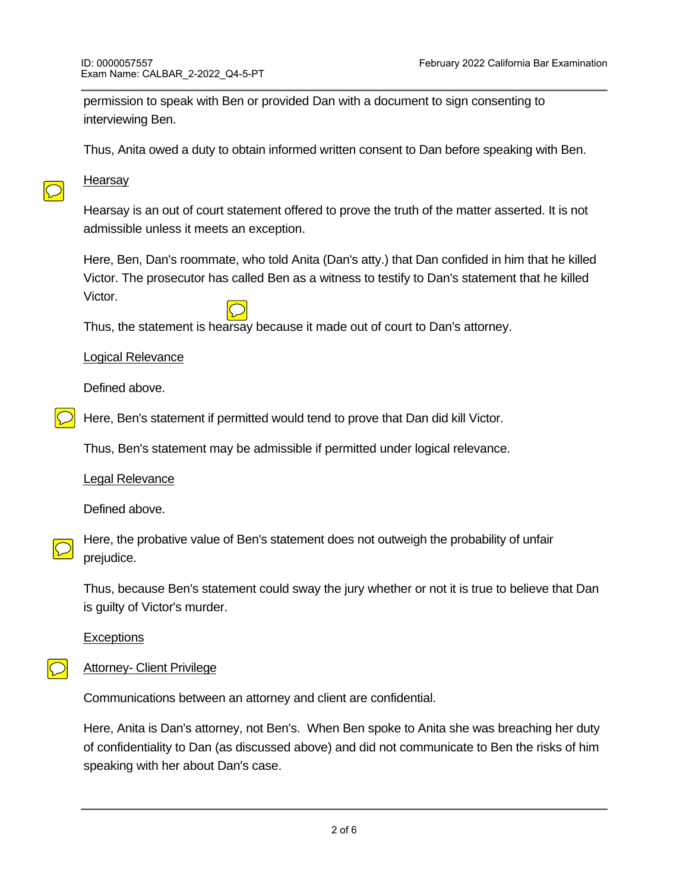permission to speak with Ben or provided Dan with a document to sign consenting to interviewing Ben.

Thus, Anita owed a duty to obtain informed written consent to Dan before speaking with Ben.

## **Hearsay**

 $\bigcirc$ 

Hearsay is an out of court statement offered to prove the truth of the matter asserted. It is not admissible unless it meets an exception.

Here, Ben, Dan's roommate, who told Anita (Dan's atty.) that Dan confided in him that he killed Victor. The prosecutor has called Ben as a witness to testify to Dan's statement that he killed Victor.

Thus, the statement is hearsay because it made out of court to Dan's attorney.

#### Logical Relevance

Defined above.

Here, Ben's statement if permitted would tend to prove that Dan did kill Victor.

Thus, Ben's statement may be admissible if permitted under logical relevance.

Legal Relevance

Defined above.

Here, the probative value of Ben's statement does not outweigh the probability of unfair prejudice.

Thus, because Ben's statement could sway the jury whether or not it is true to believe that Dan is guilty of Victor's murder.

**Exceptions** 

# $\bigcirc$

Attorney- Client Privilege

Communications between an attorney and client are confidential.

Here, Anita is Dan's attorney, not Ben's. When Ben spoke to Anita she was breaching her duty of confidentiality to Dan (as discussed above) and did not communicate to Ben the risks of him speaking with her about Dan's case.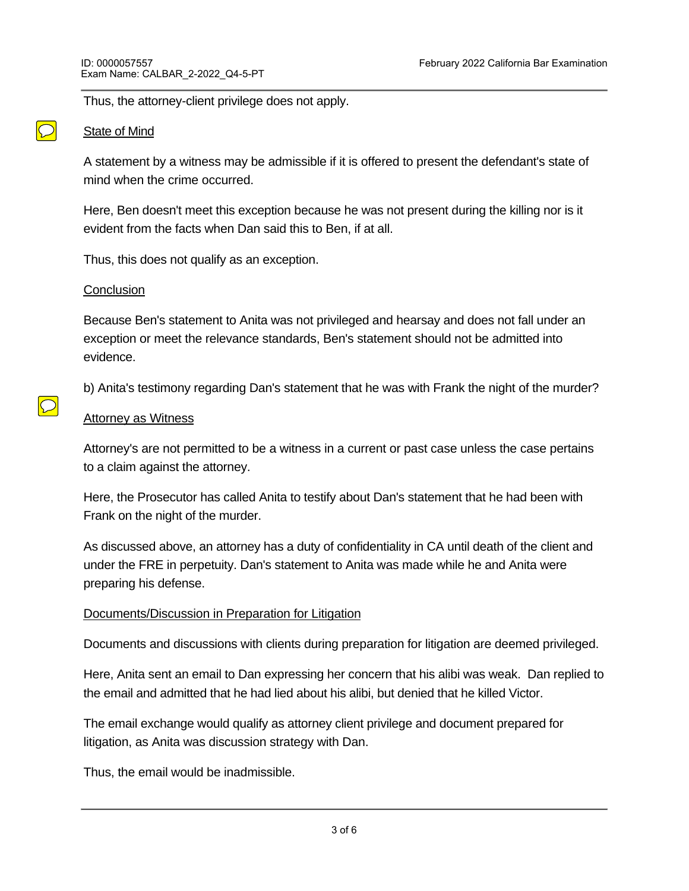Thus, the attorney-client privilege does not apply.

#### State of Mind

A statement by a witness may be admissible if it is offered to present the defendant's state of mind when the crime occurred.

Here, Ben doesn't meet this exception because he was not present during the killing nor is it evident from the facts when Dan said this to Ben, if at all.

Thus, this does not qualify as an exception.

#### **Conclusion**

 $\boxed{\bigcirc}$ 

Because Ben's statement to Anita was not privileged and hearsay and does not fall under an exception or meet the relevance standards, Ben's statement should not be admitted into evidence.

b) Anita's testimony regarding Dan's statement that he was with Frank the night of the murder?

#### **Attorney as Witness**

Attorney's are not permitted to be a witness in a current or past case unless the case pertains to a claim against the attorney.

Here, the Prosecutor has called Anita to testify about Dan's statement that he had been with Frank on the night of the murder.

As discussed above, an attorney has a duty of confidentiality in CA until death of the client and under the FRE in perpetuity. Dan's statement to Anita was made while he and Anita were preparing his defense.

### Documents/Discussion in Preparation for Litigation

Documents and discussions with clients during preparation for litigation are deemed privileged.

Here, Anita sent an email to Dan expressing her concern that his alibi was weak. Dan replied to the email and admitted that he had lied about his alibi, but denied that he killed Victor.

The email exchange would qualify as attorney client privilege and document prepared for litigation, as Anita was discussion strategy with Dan.

Thus, the email would be inadmissible.

Thus, Anita is not permitted to testify against Dan, because he is her former client and still owed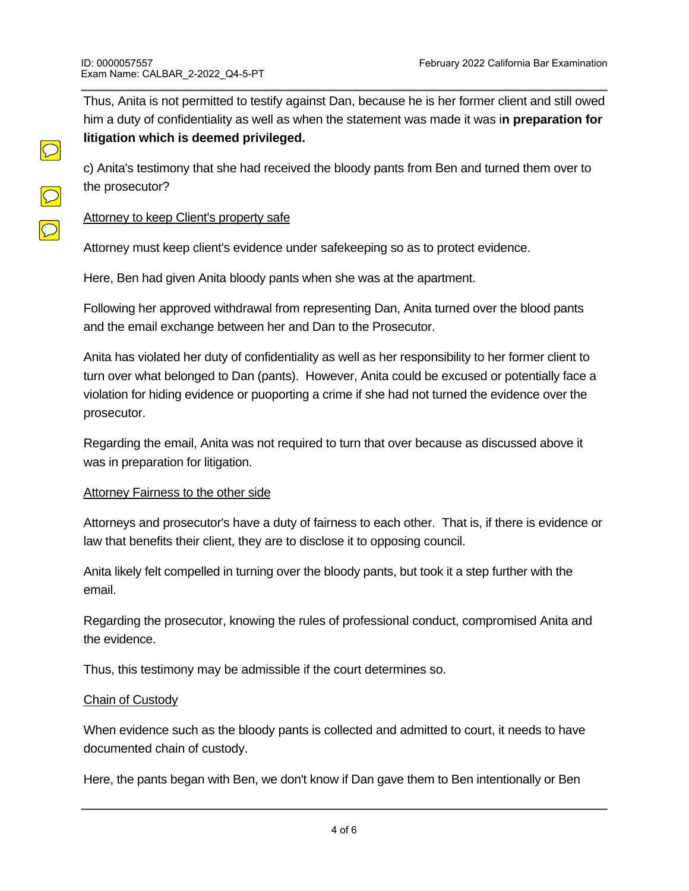$\boxed{\bigcirc}$ 

 $\overline{\bigcirc}$ 

Thus, Anita is not permitted to testify against Dan, because he is her former client and still owed him a duty of confidentiality as well as when the statement was made it was i**n preparation for litigation which is deemed privileged.**

c) Anita's testimony that she had received the bloody pants from Ben and turned them over to the prosecutor?

### Attorney to keep Client's property safe

Attorney must keep client's evidence under safekeeping so as to protect evidence.

Here, Ben had given Anita bloody pants when she was at the apartment.

Following her approved withdrawal from representing Dan, Anita turned over the blood pants and the email exchange between her and Dan to the Prosecutor.

Anita has violated her duty of confidentiality as well as her responsibility to her former client to turn over what belonged to Dan (pants). However, Anita could be excused or potentially face a violation for hiding evidence or puoporting a crime if she had not turned the evidence over the prosecutor.

Regarding the email, Anita was not required to turn that over because as discussed above it was in preparation for litigation.

#### **Attorney Fairness to the other side**

Attorneys and prosecutor's have a duty of fairness to each other. That is, if there is evidence or law that benefits their client, they are to disclose it to opposing council.

Anita likely felt compelled in turning over the bloody pants, but took it a step further with the email.

Regarding the prosecutor, knowing the rules of professional conduct, compromised Anita and the evidence.

Thus, this testimony may be admissible if the court determines so.

#### Chain of Custody

When evidence such as the bloody pants is collected and admitted to court, it needs to have documented chain of custody.

Here, the pants began with Ben, we don't know if Dan gave them to Ben intentionally or Ben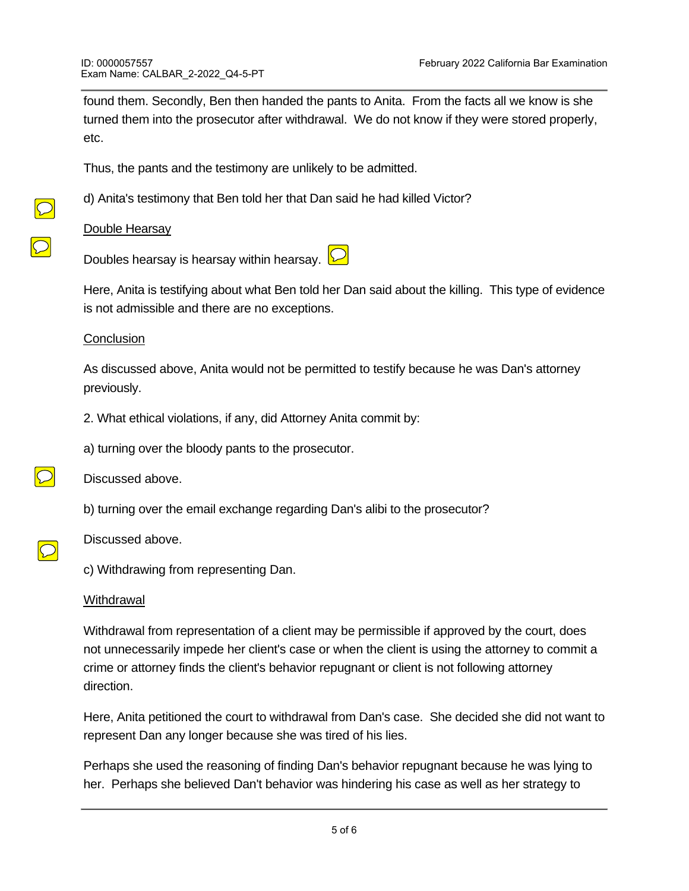found them. Secondly, Ben then handed the pants to Anita. From the facts all we know is she turned them into the prosecutor after withdrawal. We do not know if they were stored properly, etc.

Thus, the pants and the testimony are unlikely to be admitted.

d) Anita's testimony that Ben told her that Dan said he had killed Victor?

Double Hearsay

Doubles hearsay is hearsay within hearsay.  $\boxed{\triangleright}$ 

Here, Anita is testifying about what Ben told her Dan said about the killing. This type of evidence is not admissible and there are no exceptions.

#### **Conclusion**

As discussed above, Anita would not be permitted to testify because he was Dan's attorney previously.

2. What ethical violations, if any, did Attorney Anita commit by:

a) turning over the bloody pants to the prosecutor.



Discussed above.

Discussed above.

b) turning over the email exchange regarding Dan's alibi to the prosecutor?

c) Withdrawing from representing Dan.

#### **Withdrawal**

Withdrawal from representation of a client may be permissible if approved by the court, does not unnecessarily impede her client's case or when the client is using the attorney to commit a crime or attorney finds the client's behavior repugnant or client is not following attorney direction.

Here, Anita petitioned the court to withdrawal from Dan's case. She decided she did not want to represent Dan any longer because she was tired of his lies.

Perhaps she used the reasoning of finding Dan's behavior repugnant because he was lying to her. Perhaps she believed Dan't behavior was hindering his case as well as her strategy to

defend him. From the facts we are not made aware of what reasoning under permissive